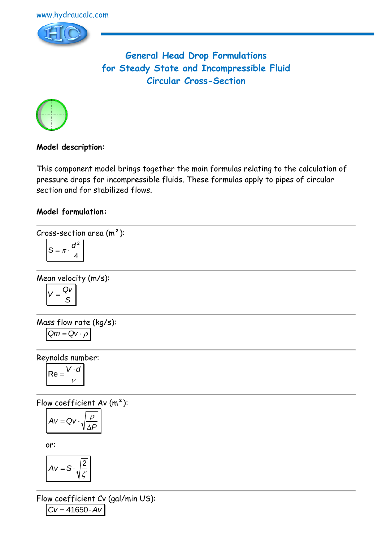



**General Head Drop Formulations for Steady State and Incompressible Fluid Circular Cross-Section**



# **Model description:**

This component model brings together the main formulas relating to the calculation of pressure drops for incompressible fluids. These formulas apply to pipes of circular section and for stabilized flows.

## **Model formulation:**

$$
Cross-section area (m2):
$$

$$
S = \pi \cdot \frac{d^2}{4}
$$

Mean velocity (m/s):

$$
V = \frac{QV}{S}
$$

Mass flow rate (kg/s):

$$
Qm = Qv \cdot \rho
$$

Reynolds number:

$$
Re = \frac{V \cdot d}{v}
$$

Flow coefficient Av (m²):

$$
Av = Qv \cdot \sqrt{\frac{\rho}{\Delta P}}
$$

or:

$$
Av = S \cdot \sqrt{\frac{2}{\zeta}}
$$

Flow coefficient Cv (gal/min US):  $CV = 41650 \cdot Av$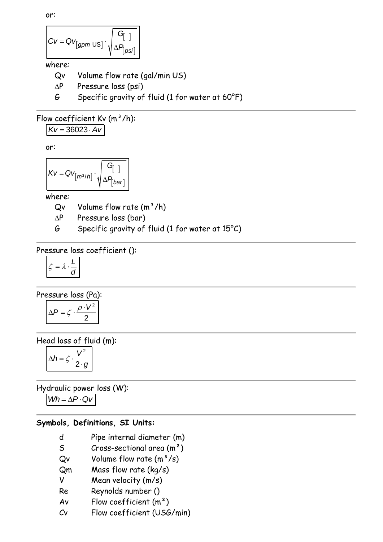or:

$$
CV = QV_{[gpm\text{ US}]}\cdot\sqrt{\frac{G_{[-]}}{\Delta P_{[psi]}}}
$$

#### where:

Qv Volume flow rate (gal/min US)

- $\Delta P$  Pressure loss (psi)
- G Specific gravity of fluid (1 for water at 60°F)

## Flow coefficient Kv  $(m^3/h)$ :

 $Kv = 36023 \cdot Av$ 

or:

$$
Kv = Qv_{\left[m^{3}/h\right]} \cdot \sqrt{\frac{G_{\left[-\right]}}{\Delta P_{\left(bar\right)}}}
$$

where:

 $Qv$  Volume flow rate  $(m^3/h)$ 

 $\Delta P$  Pressure loss (bar)

G Specific gravity of fluid (1 for water at  $15^{\circ}$ C)

Pressure loss coefficient ():

$$
\zeta = \lambda \cdot \frac{L}{d}
$$

Pressure loss (Pa): 2  $\Delta P = \zeta \cdot \frac{\rho \cdot V^2}{2}$ 

Head loss of fluid (m):

$$
\Delta h = \zeta \cdot \frac{V^2}{2 \cdot g}
$$

Hydraulic power loss (W):  $Wh = \Delta P \cdot QV$ 

# **Symbols, Definitions, SI Units:**

- d Pipe internal diameter (m)
- S Cross-sectional area  $(m<sup>2</sup>)$
- $Qv$  Volume flow rate  $(m^3/s)$
- Qm Mass flow rate (kg/s)
- V Mean velocity (m/s)
- Re Reynolds number ()
- Av Flow coefficient  $(m<sup>2</sup>)$
- Cv Flow coefficient (USG/min)